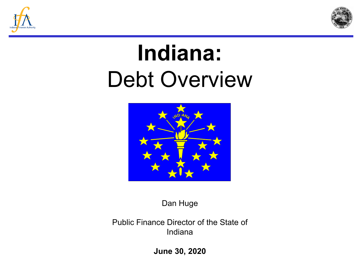



# **Indiana:**  Debt Overview



Dan Huge

Public Finance Director of the State of Indiana

**June 30, 2020**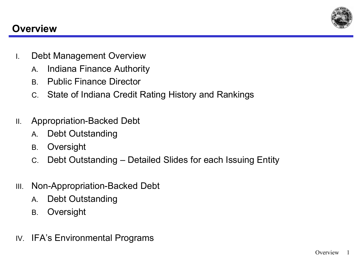

## **Overview**

- I. Debt Management Overview
	- A. Indiana Finance Authority
	- B. Public Finance Director
	- C. State of Indiana Credit Rating History and Rankings
- II. Appropriation-Backed Debt
	- A. Debt Outstanding
	- B. Oversight
	- C. Debt Outstanding Detailed Slides for each Issuing Entity
- III. Non-Appropriation-Backed Debt
	- A. Debt Outstanding
	- B. Oversight
- IV. IFA's Environmental Programs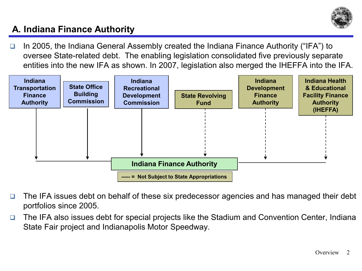

# **A. Indiana Finance Authority**

□ In 2005, the Indiana General Assembly created the Indiana Finance Authority ("IFA") to oversee State-related debt. The enabling legislation consolidated five previously separate entities into the new IFA as shown. In 2007, legislation also merged the IHEFFA into the IFA.



- □ The IFA issues debt on behalf of these six predecessor agencies and has managed their debt portfolios since 2005.
- □ The IFA also issues debt for special projects like the Stadium and Convention Center, Indiana State Fair project and Indianapolis Motor Speedway.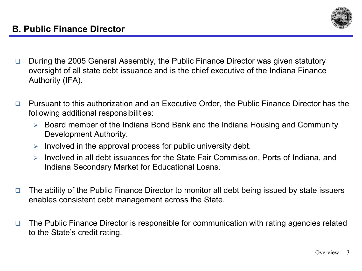

- □ During the 2005 General Assembly, the Public Finance Director was given statutory oversight of all state debt issuance and is the chief executive of the Indiana Finance Authority (IFA).
- □ Pursuant to this authorization and an Executive Order, the Public Finance Director has the following additional responsibilities:
	- Board member of the Indiana Bond Bank and the Indiana Housing and Community Development Authority.
	- $\triangleright$  Involved in the approval process for public university debt.
	- $\triangleright$  Involved in all debt issuances for the State Fair Commission, Ports of Indiana, and Indiana Secondary Market for Educational Loans.
- □ The ability of the Public Finance Director to monitor all debt being issued by state issuers enables consistent debt management across the State.
- □ The Public Finance Director is responsible for communication with rating agencies related to the State's credit rating.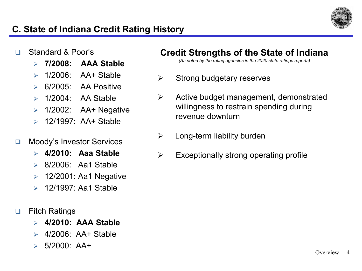

## **C. State of Indiana Credit Rating History**

#### Standard & Poor's

- **7/2008: AAA Stable**
- $\geq$  1/2006: AA+ Stable
- 6/2005: AA Positive
- $\geq 1/2004$ : AA Stable
- $\geq 1/2002$ : AA+ Negative
- $\geq 12/1997$  AA+ Stable

#### □ Moody's Investor Services

- **4/2010: Aaa Stable**
- 8/2006: Aa1 Stable
- $\geq$  12/2001: Aa1 Negative
- 12/1997: Aa1 Stable
- □ Fitch Ratings
	- **4/2010: AAA Stable**
	- $\geq$  4/2006: AA+ Stable
	- 5/2000: AA+

#### **Credit Strengths of the State of Indiana**

*(As noted by the rating agencies in the 2020 state ratings reports)*

- $\triangleright$  Strong budgetary reserves
- $\triangleright$  Active budget management, demonstrated willingness to restrain spending during revenue downturn
- $\triangleright$  Long-term liability burden
- $\triangleright$  Exceptionally strong operating profile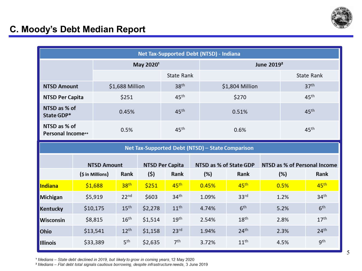

### **C. Moody's Debt Median Report**

| Net Tax-Supported Debt (NTSD) - Indiana          |  |                       |                  |                        |                  |                        |                  |                              |                  |                  |
|--------------------------------------------------|--|-----------------------|------------------|------------------------|------------------|------------------------|------------------|------------------------------|------------------|------------------|
|                                                  |  | May 2020 <sup>1</sup> |                  |                        |                  | June 2019 <sup>2</sup> |                  |                              |                  |                  |
|                                                  |  |                       |                  | <b>State Rank</b>      |                  |                        |                  | <b>State Rank</b>            |                  |                  |
| <b>NTSD Amount</b>                               |  | \$1,688 Million       |                  |                        | 38 <sup>th</sup> |                        | \$1,804 Million  |                              | 37 <sup>th</sup> |                  |
| <b>NTSD Per Capita</b>                           |  | \$251                 |                  | 45 <sup>th</sup>       |                  | \$270                  |                  |                              | 45 <sup>th</sup> |                  |
| NTSD as % of<br>State GDP*                       |  |                       | 0.45%            |                        | 45 <sup>th</sup> |                        | 0.51%            |                              |                  | 45 <sup>th</sup> |
| NTSD as % of<br>Personal Income**                |  |                       | 0.5%             |                        | 45 <sup>th</sup> | 0.6%                   |                  |                              | 45 <sup>th</sup> |                  |
| Net Tax-Supported Debt (NTSD) - State Comparison |  |                       |                  |                        |                  |                        |                  |                              |                  |                  |
|                                                  |  | <b>NTSD Amount</b>    |                  | <b>NTSD Per Capita</b> |                  | NTSD as % of State GDP |                  | NTSD as % of Personal Income |                  |                  |
|                                                  |  | (\$ in Millions)      | Rank             | (5)                    | Rank             | (%)                    | Rank             |                              | (%)              | Rank             |
| <b>Indiana</b>                                   |  | \$1,688               | 38 <sup>th</sup> | \$251                  | 45 <sup>th</sup> | 0.45%                  | 45 <sup>th</sup> |                              | 0.5%             | 45 <sup>th</sup> |
| <b>Michigan</b>                                  |  | \$5,919               | 22 <sup>nd</sup> | \$603                  | 34 <sup>th</sup> | 1.09%                  | 33 <sup>rd</sup> |                              | 1.2%             | 34 <sup>th</sup> |
| <b>Kentucky</b>                                  |  | \$10,175              | 15 <sup>th</sup> | \$2,278                | 11 <sup>th</sup> | 4.74%                  | 6 <sup>th</sup>  |                              | 5.2%             | 6 <sup>th</sup>  |
| Wisconsin                                        |  | \$8,815               | 16 <sup>th</sup> | \$1,514                | 19 <sup>th</sup> | 2.54%                  | 18 <sup>th</sup> |                              | 2.8%             | 17 <sup>th</sup> |
| Ohio                                             |  | \$13,541              | 12 <sup>th</sup> | \$1,158                | 23 <sup>rd</sup> | 1.94%                  | 24 <sup>th</sup> |                              | 2.3%             | 24 <sup>th</sup> |
| <b>Illinois</b>                                  |  | \$33,389              | 5 <sup>th</sup>  | \$2,635                | 7 <sup>th</sup>  | 3.72%                  | 11 <sup>th</sup> |                              | 4.5%             | gth              |

<sup>1</sup> Medians - State debt declined in 2019, but likely to grow in coming years, 12 May 2020

<sup>2</sup> Medians - Flat debt total signals cautious borrowing, despite infrastructure needs, 3 June 2019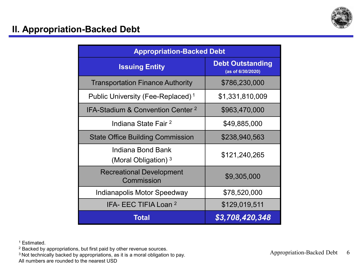

| <b>Appropriation-Backed Debt</b>              |                                              |  |  |
|-----------------------------------------------|----------------------------------------------|--|--|
| <b>Issuing Entity</b>                         | <b>Debt Outstanding</b><br>(as of 6/30/2020) |  |  |
| <b>Transportation Finance Authority</b>       | \$786,230,000                                |  |  |
| Public University (Fee-Replaced) <sup>1</sup> | \$1,331,810,009                              |  |  |
| IFA-Stadium & Convention Center <sup>2</sup>  | \$963,470,000                                |  |  |
| Indiana State Fair <sup>2</sup>               | \$49,885,000                                 |  |  |
| <b>State Office Building Commission</b>       | \$238,940,563                                |  |  |
| Indiana Bond Bank<br>(Moral Obligation) $3$   | \$121,240,265                                |  |  |
| <b>Recreational Development</b><br>Commission | \$9,305,000                                  |  |  |
| <b>Indianapolis Motor Speedway</b>            | \$78,520,000                                 |  |  |
| IFA- EEC TIFIA Loan <sup>2</sup>              | \$129,019,511                                |  |  |
| Total                                         | \$3,708,420,348                              |  |  |

<sup>1</sup> Estimated.

<sup>2</sup> Backed by appropriations, but first paid by other revenue sources.

<sup>3</sup> Not technically backed by appropriations, as it is a moral obligation to pay.

All numbers are rounded to the nearest USD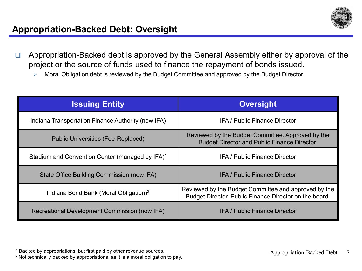

- □ Appropriation-Backed debt is approved by the General Assembly either by approval of the project or the source of funds used to finance the repayment of bonds issued.
	- **► Moral Obligation debt is reviewed by the Budget Committee and approved by the Budget Director.**

| <b>Issuing Entity</b>                                       | <b>Oversight</b>                                                                                               |
|-------------------------------------------------------------|----------------------------------------------------------------------------------------------------------------|
| Indiana Transportation Finance Authority (now IFA)          | <b>IFA / Public Finance Director</b>                                                                           |
| <b>Public Universities (Fee-Replaced)</b>                   | Reviewed by the Budget Committee. Approved by the<br><b>Budget Director and Public Finance Director.</b>       |
| Stadium and Convention Center (managed by IFA) <sup>1</sup> | <b>IFA / Public Finance Director</b>                                                                           |
| State Office Building Commission (now IFA)                  | <b>IFA</b> / Public Finance Director                                                                           |
| Indiana Bond Bank (Moral Obligation) <sup>2</sup>           | Reviewed by the Budget Committee and approved by the<br>Budget Director. Public Finance Director on the board. |
| Recreational Development Commission (now IFA)               | <b>IFA</b> / Public Finance Director                                                                           |

<sup>1</sup> Backed by appropriations, but first paid by other revenue sources.

<sup>1</sup> Backed by appropriations, but first paid by other revenue sources.<br><sup>2</sup> Not technically backed by appropriations, as it is a moral obligation to pay.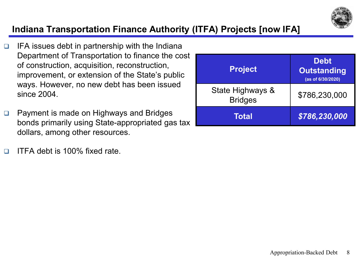

# **Indiana Transportation Finance Authority (ITFA) Projects [now IFA]**

- $\Box$  IFA issues debt in partnership with the Indiana Department of Transportation to finance the cost of construction, acquisition, reconstruction, improvement, or extension of the State's public ways. However, no new debt has been issued since 2004.
- □ Payment is made on Highways and Bridges bonds primarily using State-appropriated gas tax dollars, among other resources.
- ITFA debt is 100% fixed rate.

| <b>Project</b>                     | <b>Debt</b><br><b>Outstanding</b><br>(as of 6/30/2020) |
|------------------------------------|--------------------------------------------------------|
| State Highways &<br><b>Bridges</b> | \$786,230,000                                          |
| <b>Total</b>                       | \$786,230,000                                          |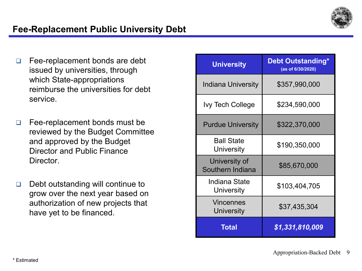

#### **Fee-Replacement Public University Debt**

- □ Fee-replacement bonds are debt issued by universities, through which State-appropriations reimburse the universities for debt service.
- $\Box$  Fee-replacement bonds must be reviewed by the Budget Committee and approved by the Budget Director and Public Finance Director.
- Debt outstanding will continue to grow over the next year based on authorization of new projects that have yet to be financed.

| <b>University</b>                 | <b>Debt Outstanding*</b><br>(as of 6/30/2020) |
|-----------------------------------|-----------------------------------------------|
| <b>Indiana University</b>         | \$357,990,000                                 |
| <b>Ivy Tech College</b>           | \$234,590,000                                 |
| <b>Purdue University</b>          | \$322,370,000                                 |
| <b>Ball State</b><br>University   | \$190,350,000                                 |
| University of<br>Southern Indiana | \$85,670,000                                  |
| Indiana State<br>University       | \$103,404,705                                 |
| Vincennes<br>University           | \$37,435,304                                  |
| <b>Total</b>                      | \$1,331,810,009                               |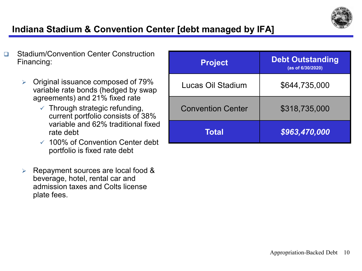

# **Indiana Stadium & Convention Center [debt managed by IFA]**

- □ Stadium/Convention Center Construction Financing:
	- $\triangleright$  Original issuance composed of 79% variable rate bonds (hedged by swap agreements) and 21% fixed rate
		- $\checkmark$  Through strategic refunding, current portfolio consists of 38% variable and 62% traditional fixed rate debt
		- $\sqrt{100\%}$  of Convention Center debt portfolio is fixed rate debt
	- $\triangleright$  Repayment sources are local food & beverage, hotel, rental car and admission taxes and Colts license plate fees.

| <b>Project</b>           | <b>Debt Outstanding</b><br>(as of 6/30/2020) |
|--------------------------|----------------------------------------------|
| Lucas Oil Stadium        | \$644,735,000                                |
| <b>Convention Center</b> | \$318,735,000                                |
| <b>Total</b>             | \$963,470,000                                |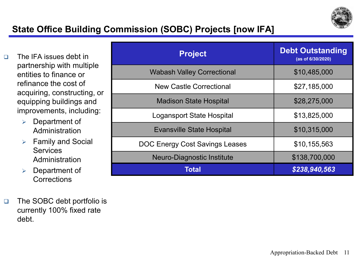

# **State Office Building Commission (SOBC) Projects [now IFA]**

- □ The IFA issues debt in partnership with multiple entities to finance or refinance the cost of acquiring, constructing, or equipping buildings and improvements, including:
	- $\triangleright$  Department of Administration
	- $\triangleright$  Family and Social **Services Administration**
	- $\triangleright$  Department of **Corrections**
- □ The SOBC debt portfolio is currently 100% fixed rate debt.

| <b>Project</b>                    | <b>Debt Outstanding</b><br>(as of 6/30/2020) |
|-----------------------------------|----------------------------------------------|
| <b>Wabash Valley Correctional</b> | \$10,485,000                                 |
| <b>New Castle Correctional</b>    | \$27,185,000                                 |
| <b>Madison State Hospital</b>     | \$28,275,000                                 |
| <b>Logansport State Hospital</b>  | \$13,825,000                                 |
| <b>Evansville State Hospital</b>  | \$10,315,000                                 |
| DOC Energy Cost Savings Leases    | \$10,155,563                                 |
| Neuro-Diagnostic Institute        | \$138,700,000                                |
| Total                             | \$238,940,563                                |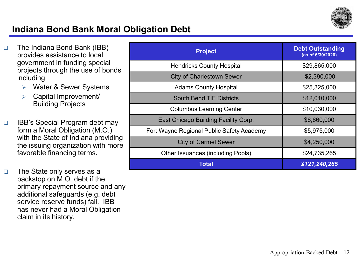

#### **Indiana Bond Bank Moral Obligation Debt**

- The Indiana Bond Bank (IBB) provides assistance to local government in funding special projects through the use of bonds including:
	- Water & Sewer Systems
	- $\triangleright$  Capital Improvement/ Building Projects
- IBB's Special Program debt may form a Moral Obligation (M.O.) with the State of Indiana providing the issuing organization with more favorable financing terms.
- □ The State only serves as a backstop on M.O. debt if the primary repayment source and any additional safeguards (e.g. debt service reserve funds) fail. IBB has never had a Moral Obligation claim in its history.

| <b>Project</b>                            | <b>Debt Outstanding</b><br>(as of 6/30/2020) |
|-------------------------------------------|----------------------------------------------|
| <b>Hendricks County Hospital</b>          | \$29,865,000                                 |
| <b>City of Charlestown Sewer</b>          | \$2,390,000                                  |
| <b>Adams County Hospital</b>              | \$25,325,000                                 |
| <b>South Bend TIF Districts</b>           | \$12,010,000                                 |
| <b>Columbus Learning Center</b>           | \$10,030,000                                 |
| East Chicago Building Facility Corp.      | \$6,660,000                                  |
| Fort Wayne Regional Public Safety Academy | \$5,975,000                                  |
| <b>City of Carmel Sewer</b>               | \$4,250,000                                  |
| <b>Other Issuances (including Pools)</b>  | \$24,735,265                                 |
| Total                                     | \$121,240,265                                |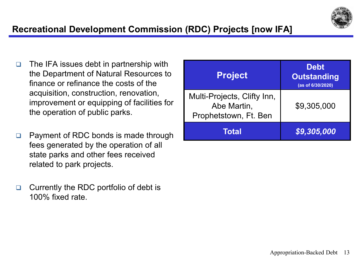

# **Recreational Development Commission (RDC) Projects [now IFA]**

- $\Box$  The IFA issues debt in partnership with the Department of Natural Resources to finance or refinance the costs of the acquisition, construction, renovation, improvement or equipping of facilities for the operation of public parks.
- □ Payment of RDC bonds is made through fees generated by the operation of all state parks and other fees received related to park projects.
- □ Currently the RDC portfolio of debt is 100% fixed rate.

| <b>Project</b>                                                      | <b>Debt</b><br><b>Outstanding</b><br>(as of 6/30/2020) |
|---------------------------------------------------------------------|--------------------------------------------------------|
| Multi-Projects, Clifty Inn,<br>Abe Martin,<br>Prophetstown, Ft. Ben | \$9,305,000                                            |
| Total                                                               | \$9,305,000                                            |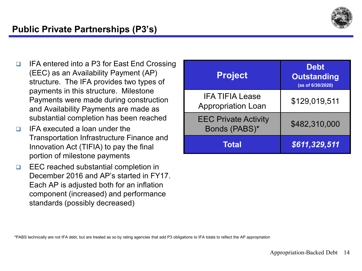

- **□** IFA entered into a P3 for East End Crossing (EEC) as an Availability Payment (AP) structure. The IFA provides two types of payments in this structure. Milestone Payments were made during construction and Availability Payments are made as substantial completion has been reached
- $\Box$  IFA executed a loan under the Transportation Infrastructure Finance and Innovation Act (TIFIA) to pay the final portion of milestone payments
- □ EEC reached substantial completion in December 2016 and AP's started in FY17. Each AP is adjusted both for an inflation component (increased) and performance standards (possibly decreased)

| <b>Project</b>                                      | <b>Debt</b><br><b>Outstanding</b><br>(as of 6/30/2020) |
|-----------------------------------------------------|--------------------------------------------------------|
| <b>IFA TIFIA Lease</b><br><b>Appropriation Loan</b> | \$129,019,511                                          |
| <b>EEC Private Activity</b><br>Bonds (PABS)*        | \$482,310,000                                          |
| <b>Total</b>                                        | \$611,329,511                                          |

\*PABS technically are not IFA debt, but are treated as so by rating agencies that add P3 obligations to IFA totals to reflect the AP appropriation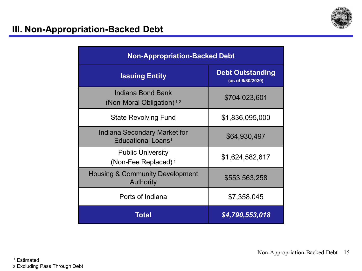

#### **III. Non-Appropriation-Backed Debt**

| <b>Non-Appropriation-Backed Debt</b>                                  |                                              |  |  |
|-----------------------------------------------------------------------|----------------------------------------------|--|--|
| <b>Issuing Entity</b>                                                 | <b>Debt Outstanding</b><br>(as of 6/30/2020) |  |  |
| Indiana Bond Bank<br>(Non-Moral Obligation) <sup>1,2</sup>            | \$704,023,601                                |  |  |
| <b>State Revolving Fund</b>                                           | \$1,836,095,000                              |  |  |
| <b>Indiana Secondary Market for</b><br>Educational Loans <sup>1</sup> | \$64,930,497                                 |  |  |
| <b>Public University</b><br>(Non-Fee Replaced) <sup>1</sup>           | \$1,624,582,617                              |  |  |
| <b>Housing &amp; Community Development</b><br><b>Authority</b>        | \$553,563,258                                |  |  |
| Ports of Indiana                                                      | \$7,358,045                                  |  |  |
| Total                                                                 | \$4,790,553,018                              |  |  |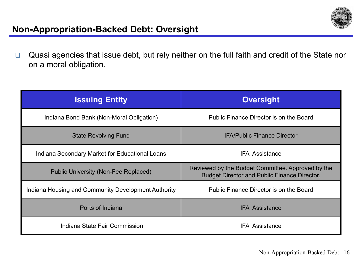

#### **Non-Appropriation-Backed Debt: Oversight**

Quasi agencies that issue debt, but rely neither on the full faith and credit of the State nor on a moral obligation.

| <b>Issuing Entity</b>                               | <b>Oversight</b>                                                                                         |
|-----------------------------------------------------|----------------------------------------------------------------------------------------------------------|
| Indiana Bond Bank (Non-Moral Obligation)            | Public Finance Director is on the Board                                                                  |
| <b>State Revolving Fund</b>                         | <b>IFA/Public Finance Director</b>                                                                       |
| Indiana Secondary Market for Educational Loans      | <b>IFA Assistance</b>                                                                                    |
| Public University (Non-Fee Replaced)                | Reviewed by the Budget Committee. Approved by the<br><b>Budget Director and Public Finance Director.</b> |
| Indiana Housing and Community Development Authority | Public Finance Director is on the Board                                                                  |
| Ports of Indiana                                    | <b>IFA Assistance</b>                                                                                    |
| Indiana State Fair Commission                       | <b>IFA Assistance</b>                                                                                    |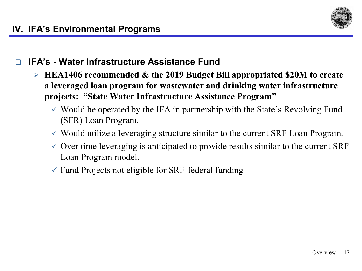

#### **IFA's - Water Infrastructure Assistance Fund**

- **HEA1406 recommended & the 2019 Budget Bill appropriated \$20M to create a leveraged loan program for wastewater and drinking water infrastructure projects: "State Water Infrastructure Assistance Program"**
	- $\checkmark$  Would be operated by the IFA in partnership with the State's Revolving Fund (SFR) Loan Program.
	- $\checkmark$  Would utilize a leveraging structure similar to the current SRF Loan Program.
	- $\checkmark$  Over time leveraging is anticipated to provide results similar to the current SRF Loan Program model.
	- $\checkmark$  Fund Projects not eligible for SRF-federal funding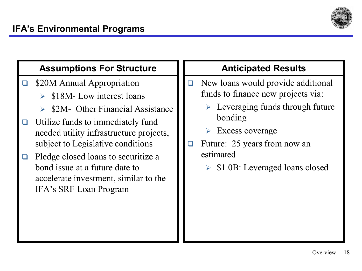

#### **Assumptions For Structure**

- □ \$20M Annual Appropriation
	- $\geq$  \$18M- Low interest loans
	- $\geq$  \$2M- Other Financial Assistance
- $\Box$  Utilize funds to immediately fund needed utility infrastructure projects, subject to Legislative conditions
- $\Box$  Pledge closed loans to securitize a bond issue at a future date to accelerate investment, similar to the IFA's SRF Loan Program

# **Anticipated Results**

- $\Box$  New loans would provide additional funds to finance new projects via:
	- $\triangleright$  Leveraging funds through future bonding
	- $\triangleright$  Excess coverage
- □ Future: 25 years from now an estimated
	- $\triangleright$  \$1.0B: Leveraged loans closed